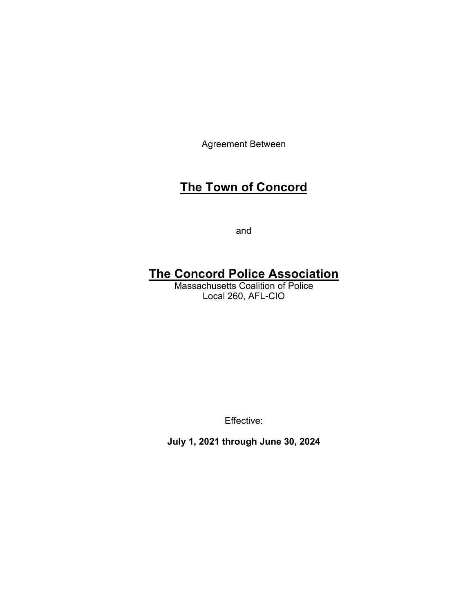Agreement Between

# **The Town of Concord**

and

# **The Concord Police Association**

Massachusetts Coalition of Police Local 260, AFL-CIO

Effective:

**July 1, 2021 through June 30, 2024**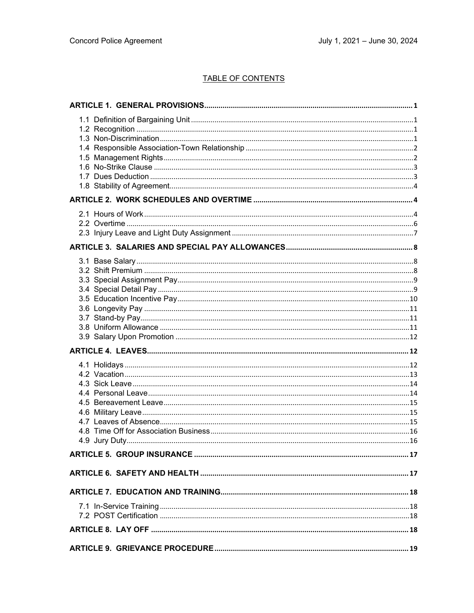### TABLE OF CONTENTS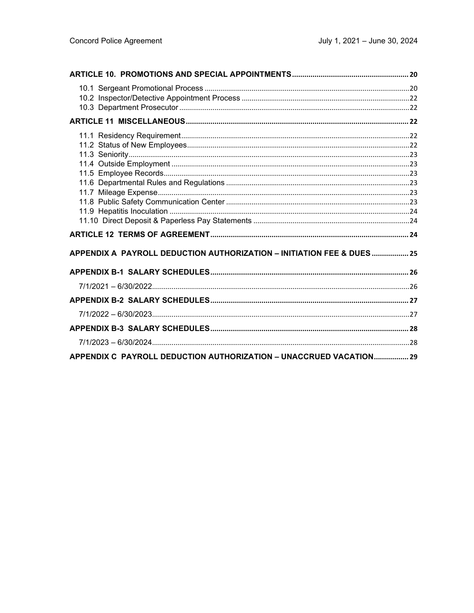| APPENDIX A PAYROLL DEDUCTION AUTHORIZATION - INITIATION FEE & DUES 25 |  |
|-----------------------------------------------------------------------|--|
|                                                                       |  |
|                                                                       |  |
|                                                                       |  |
|                                                                       |  |
|                                                                       |  |
|                                                                       |  |
| APPENDIX C PAYROLL DEDUCTION AUTHORIZATION - UNACCRUED VACATION 29    |  |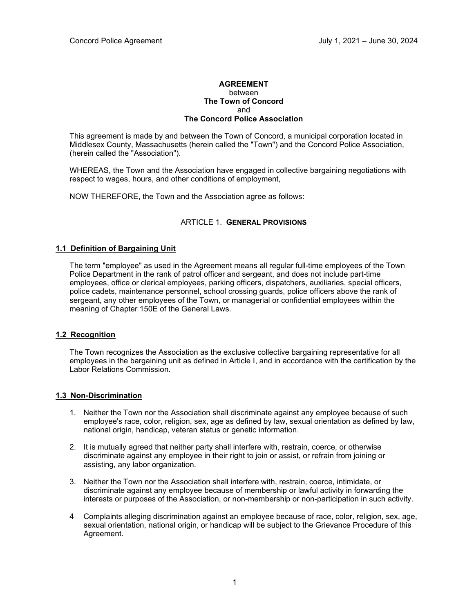#### **AGREEMENT** between **The Town of Concord** and **The Concord Police Association**

This agreement is made by and between the Town of Concord, a municipal corporation located in Middlesex County, Massachusetts (herein called the "Town") and the Concord Police Association, (herein called the "Association").

WHEREAS, the Town and the Association have engaged in collective bargaining negotiations with respect to wages, hours, and other conditions of employment,

NOW THEREFORE, the Town and the Association agree as follows:

#### ARTICLE 1. **GENERAL PROVISIONS**

#### **1.1 Definition of Bargaining Unit**

The term "employee" as used in the Agreement means all regular full-time employees of the Town Police Department in the rank of patrol officer and sergeant, and does not include part-time employees, office or clerical employees, parking officers, dispatchers, auxiliaries, special officers, police cadets, maintenance personnel, school crossing guards, police officers above the rank of sergeant, any other employees of the Town, or managerial or confidential employees within the meaning of Chapter 150E of the General Laws.

#### **1.2 Recognition**

The Town recognizes the Association as the exclusive collective bargaining representative for all employees in the bargaining unit as defined in Article I, and in accordance with the certification by the Labor Relations Commission.

#### **1.3 Non-Discrimination**

- 1. Neither the Town nor the Association shall discriminate against any employee because of such employee's race, color, religion, sex, age as defined by law, sexual orientation as defined by law, national origin, handicap, veteran status or genetic information.
- 2. It is mutually agreed that neither party shall interfere with, restrain, coerce, or otherwise discriminate against any employee in their right to join or assist, or refrain from joining or assisting, any labor organization.
- 3. Neither the Town nor the Association shall interfere with, restrain, coerce, intimidate, or discriminate against any employee because of membership or lawful activity in forwarding the interests or purposes of the Association, or non-membership or non-participation in such activity.
- 4 Complaints alleging discrimination against an employee because of race, color, religion, sex, age, sexual orientation, national origin, or handicap will be subject to the Grievance Procedure of this Agreement.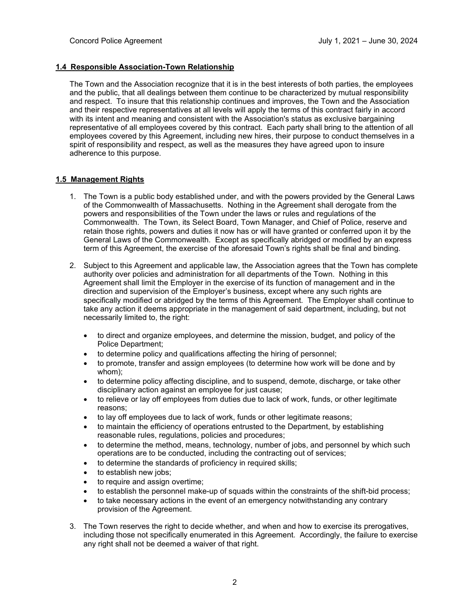#### **1.4 Responsible Association-Town Relationship**

The Town and the Association recognize that it is in the best interests of both parties, the employees and the public, that all dealings between them continue to be characterized by mutual responsibility and respect. To insure that this relationship continues and improves, the Town and the Association and their respective representatives at all levels will apply the terms of this contract fairly in accord with its intent and meaning and consistent with the Association's status as exclusive bargaining representative of all employees covered by this contract. Each party shall bring to the attention of all employees covered by this Agreement, including new hires, their purpose to conduct themselves in a spirit of responsibility and respect, as well as the measures they have agreed upon to insure adherence to this purpose.

#### **1.5 Management Rights**

- 1. The Town is a public body established under, and with the powers provided by the General Laws of the Commonwealth of Massachusetts. Nothing in the Agreement shall derogate from the powers and responsibilities of the Town under the laws or rules and regulations of the Commonwealth. The Town, its Select Board, Town Manager, and Chief of Police, reserve and retain those rights, powers and duties it now has or will have granted or conferred upon it by the General Laws of the Commonwealth. Except as specifically abridged or modified by an express term of this Agreement, the exercise of the aforesaid Town's rights shall be final and binding.
- 2. Subject to this Agreement and applicable law, the Association agrees that the Town has complete authority over policies and administration for all departments of the Town. Nothing in this Agreement shall limit the Employer in the exercise of its function of management and in the direction and supervision of the Employer's business, except where any such rights are specifically modified or abridged by the terms of this Agreement. The Employer shall continue to take any action it deems appropriate in the management of said department, including, but not necessarily limited to, the right:
	- to direct and organize employees, and determine the mission, budget, and policy of the Police Department;
	- to determine policy and qualifications affecting the hiring of personnel;
	- to promote, transfer and assign employees (to determine how work will be done and by whom);
	- to determine policy affecting discipline, and to suspend, demote, discharge, or take other disciplinary action against an employee for just cause;
	- to relieve or lay off employees from duties due to lack of work, funds, or other legitimate reasons;
	- to lay off employees due to lack of work, funds or other legitimate reasons;
	- to maintain the efficiency of operations entrusted to the Department, by establishing reasonable rules, regulations, policies and procedures;
	- to determine the method, means, technology, number of jobs, and personnel by which such operations are to be conducted, including the contracting out of services;
	- to determine the standards of proficiency in required skills;
	- to establish new jobs;
	- to require and assign overtime;
	- to establish the personnel make-up of squads within the constraints of the shift-bid process;
	- to take necessary actions in the event of an emergency notwithstanding any contrary provision of the Agreement.
- 3. The Town reserves the right to decide whether, and when and how to exercise its prerogatives, including those not specifically enumerated in this Agreement. Accordingly, the failure to exercise any right shall not be deemed a waiver of that right.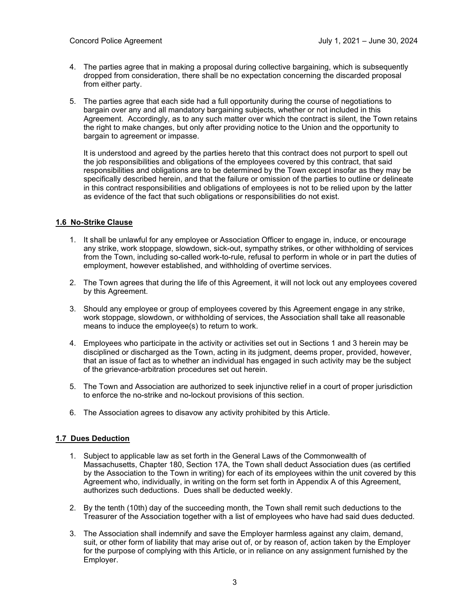- 4. The parties agree that in making a proposal during collective bargaining, which is subsequently dropped from consideration, there shall be no expectation concerning the discarded proposal from either party.
- 5. The parties agree that each side had a full opportunity during the course of negotiations to bargain over any and all mandatory bargaining subjects, whether or not included in this Agreement. Accordingly, as to any such matter over which the contract is silent, the Town retains the right to make changes, but only after providing notice to the Union and the opportunity to bargain to agreement or impasse.

It is understood and agreed by the parties hereto that this contract does not purport to spell out the job responsibilities and obligations of the employees covered by this contract, that said responsibilities and obligations are to be determined by the Town except insofar as they may be specifically described herein, and that the failure or omission of the parties to outline or delineate in this contract responsibilities and obligations of employees is not to be relied upon by the latter as evidence of the fact that such obligations or responsibilities do not exist.

#### **1.6 No-Strike Clause**

- 1. It shall be unlawful for any employee or Association Officer to engage in, induce, or encourage any strike, work stoppage, slowdown, sick-out, sympathy strikes, or other withholding of services from the Town, including so-called work-to-rule, refusal to perform in whole or in part the duties of employment, however established, and withholding of overtime services.
- 2. The Town agrees that during the life of this Agreement, it will not lock out any employees covered by this Agreement.
- 3. Should any employee or group of employees covered by this Agreement engage in any strike, work stoppage, slowdown, or withholding of services, the Association shall take all reasonable means to induce the employee(s) to return to work.
- 4. Employees who participate in the activity or activities set out in Sections 1 and 3 herein may be disciplined or discharged as the Town, acting in its judgment, deems proper, provided, however, that an issue of fact as to whether an individual has engaged in such activity may be the subject of the grievance-arbitration procedures set out herein.
- 5. The Town and Association are authorized to seek injunctive relief in a court of proper jurisdiction to enforce the no-strike and no-lockout provisions of this section.
- 6. The Association agrees to disavow any activity prohibited by this Article.

#### **1.7 Dues Deduction**

- 1. Subject to applicable law as set forth in the General Laws of the Commonwealth of Massachusetts, Chapter 180, Section 17A, the Town shall deduct Association dues (as certified by the Association to the Town in writing) for each of its employees within the unit covered by this Agreement who, individually, in writing on the form set forth in Appendix A of this Agreement, authorizes such deductions. Dues shall be deducted weekly.
- 2. By the tenth (10th) day of the succeeding month, the Town shall remit such deductions to the Treasurer of the Association together with a list of employees who have had said dues deducted.
- 3. The Association shall indemnify and save the Employer harmless against any claim, demand, suit, or other form of liability that may arise out of, or by reason of, action taken by the Employer for the purpose of complying with this Article, or in reliance on any assignment furnished by the Employer.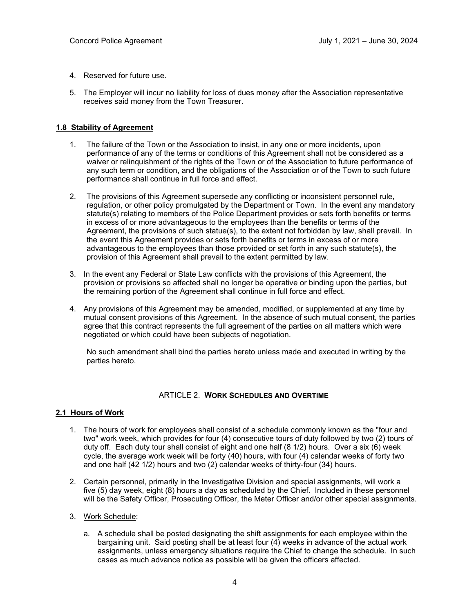- 4. Reserved for future use.
- 5. The Employer will incur no liability for loss of dues money after the Association representative receives said money from the Town Treasurer.

#### **1.8 Stability of Agreement**

- 1. The failure of the Town or the Association to insist, in any one or more incidents, upon performance of any of the terms or conditions of this Agreement shall not be considered as a waiver or relinquishment of the rights of the Town or of the Association to future performance of any such term or condition, and the obligations of the Association or of the Town to such future performance shall continue in full force and effect.
- 2. The provisions of this Agreement supersede any conflicting or inconsistent personnel rule, regulation, or other policy promulgated by the Department or Town. In the event any mandatory statute(s) relating to members of the Police Department provides or sets forth benefits or terms in excess of or more advantageous to the employees than the benefits or terms of the Agreement, the provisions of such statue(s), to the extent not forbidden by law, shall prevail. In the event this Agreement provides or sets forth benefits or terms in excess of or more advantageous to the employees than those provided or set forth in any such statute(s), the provision of this Agreement shall prevail to the extent permitted by law.
- 3. In the event any Federal or State Law conflicts with the provisions of this Agreement, the provision or provisions so affected shall no longer be operative or binding upon the parties, but the remaining portion of the Agreement shall continue in full force and effect.
- 4. Any provisions of this Agreement may be amended, modified, or supplemented at any time by mutual consent provisions of this Agreement. In the absence of such mutual consent, the parties agree that this contract represents the full agreement of the parties on all matters which were negotiated or which could have been subjects of negotiation.

No such amendment shall bind the parties hereto unless made and executed in writing by the parties hereto.

#### ARTICLE 2. **WORK SCHEDULES AND OVERTIME**

#### **2.1 Hours of Work**

- 1. The hours of work for employees shall consist of a schedule commonly known as the "four and two" work week, which provides for four (4) consecutive tours of duty followed by two (2) tours of duty off. Each duty tour shall consist of eight and one half (8 1/2) hours. Over a six (6) week cycle, the average work week will be forty (40) hours, with four (4) calendar weeks of forty two and one half (42 1/2) hours and two (2) calendar weeks of thirty-four (34) hours.
- 2. Certain personnel, primarily in the Investigative Division and special assignments, will work a five (5) day week, eight (8) hours a day as scheduled by the Chief. Included in these personnel will be the Safety Officer, Prosecuting Officer, the Meter Officer and/or other special assignments.
- 3. Work Schedule:
	- a. A schedule shall be posted designating the shift assignments for each employee within the bargaining unit. Said posting shall be at least four (4) weeks in advance of the actual work assignments, unless emergency situations require the Chief to change the schedule. In such cases as much advance notice as possible will be given the officers affected.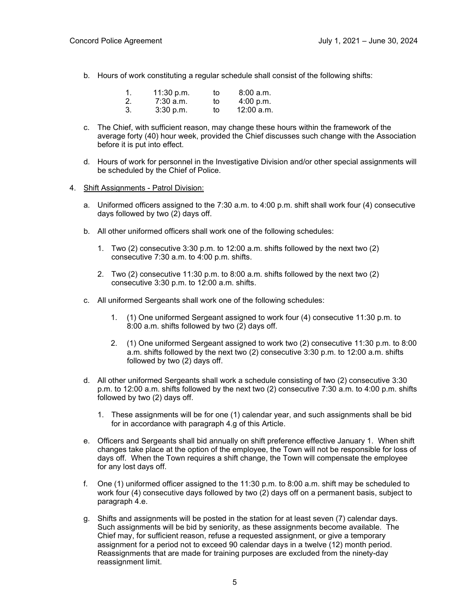b. Hours of work constituting a regular schedule shall consist of the following shifts:

| 1. | 11:30 p.m.  | to | 8:00 a.m.    |
|----|-------------|----|--------------|
| 2. | $7:30$ a.m. | to | 4:00 p.m.    |
| 3. | 3:30 p.m.   | to | $12:00$ a.m. |

- c. The Chief, with sufficient reason, may change these hours within the framework of the average forty (40) hour week, provided the Chief discusses such change with the Association before it is put into effect.
- d. Hours of work for personnel in the Investigative Division and/or other special assignments will be scheduled by the Chief of Police.
- 4. Shift Assignments Patrol Division:
	- a. Uniformed officers assigned to the 7:30 a.m. to 4:00 p.m. shift shall work four (4) consecutive days followed by two (2) days off.
	- b. All other uniformed officers shall work one of the following schedules:
		- 1. Two (2) consecutive 3:30 p.m. to 12:00 a.m. shifts followed by the next two (2) consecutive 7:30 a.m. to 4:00 p.m. shifts.
		- 2. Two (2) consecutive 11:30 p.m. to 8:00 a.m. shifts followed by the next two (2) consecutive 3:30 p.m. to 12:00 a.m. shifts.
	- c. All uniformed Sergeants shall work one of the following schedules:
		- 1. (1) One uniformed Sergeant assigned to work four (4) consecutive 11:30 p.m. to 8:00 a.m. shifts followed by two (2) days off.
		- 2. (1) One uniformed Sergeant assigned to work two (2) consecutive 11:30 p.m. to 8:00 a.m. shifts followed by the next two (2) consecutive 3:30 p.m. to 12:00 a.m. shifts followed by two (2) days off.
	- d. All other uniformed Sergeants shall work a schedule consisting of two (2) consecutive 3:30 p.m. to 12:00 a.m. shifts followed by the next two (2) consecutive 7:30 a.m. to 4:00 p.m. shifts followed by two (2) days off.
		- 1. These assignments will be for one (1) calendar year, and such assignments shall be bid for in accordance with paragraph 4.g of this Article.
	- e. Officers and Sergeants shall bid annually on shift preference effective January 1. When shift changes take place at the option of the employee, the Town will not be responsible for loss of days off. When the Town requires a shift change, the Town will compensate the employee for any lost days off.
	- f. One (1) uniformed officer assigned to the 11:30 p.m. to 8:00 a.m. shift may be scheduled to work four (4) consecutive days followed by two (2) days off on a permanent basis, subject to paragraph 4.e.
	- g. Shifts and assignments will be posted in the station for at least seven (7) calendar days. Such assignments will be bid by seniority, as these assignments become available. The Chief may, for sufficient reason, refuse a requested assignment, or give a temporary assignment for a period not to exceed 90 calendar days in a twelve (12) month period. Reassignments that are made for training purposes are excluded from the ninety-day reassignment limit.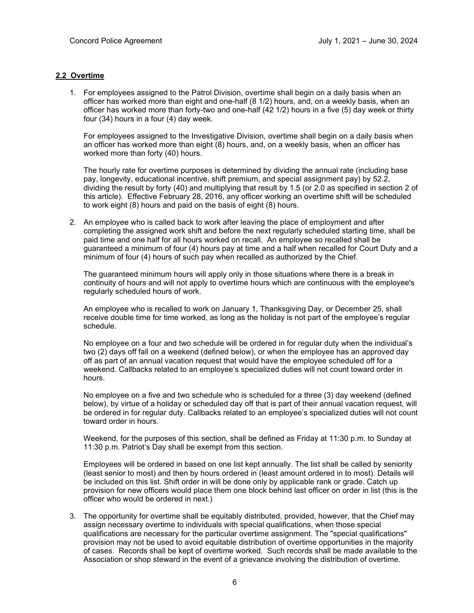#### **2.2 Overtime**

1. For employees assigned to the Patrol Division, overtime shall begin on a daily basis when an officer has worked more than eight and one-half (8 1/2) hours, and, on a weekly basis, when an officer has worked more than forty-two and one-half (42 1/2) hours in a five (5) day week or thirty four (34) hours in a four (4) day week.

For employees assigned to the Investigative Division, overtime shall begin on a daily basis when an officer has worked more than eight (8) hours, and, on a weekly basis, when an officer has worked more than forty (40) hours.

The hourly rate for overtime purposes is determined by dividing the annual rate (including base pay, longevity, educational incentive, shift premium, and special assignment pay) by 52.2, dividing the result by forty (40) and multiplying that result by 1.5 (or 2.0 as specified in section 2 of this article). Effective February 28, 2016, any officer working an overtime shift will be scheduled to work eight (8) hours and paid on the basis of eight (8) hours.

2. An employee who is called back to work after leaving the place of employment and after completing the assigned work shift and before the next regularly scheduled starting time, shall be paid time and one half for all hours worked on recall. An employee so recalled shall be guaranteed a minimum of four (4) hours pay at time and a half when recalled for Court Duty and a minimum of four (4) hours of such pay when recalled as authorized by the Chief.

The guaranteed minimum hours will apply only in those situations where there is a break in continuity of hours and will not apply to overtime hours which are continuous with the employee's regularly scheduled hours of work.

An employee who is recalled to work on January 1, Thanksgiving Day, or December 25, shall receive double time for time worked, as long as the holiday is not part of the employee's regular schedule.

No employee on a four and two schedule will be ordered in for regular duty when the individual's two (2) days off fall on a weekend (defined below), or when the employee has an approved day off as part of an annual vacation request that would have the employee scheduled off for a weekend. Callbacks related to an employee's specialized duties will not count toward order in hours.

No employee on a five and two schedule who is scheduled for a three (3) day weekend (defined below), by virtue of a holiday or scheduled day off that is part of their annual vacation request, will be ordered in for regular duty. Callbacks related to an employee's specialized duties will not count toward order in hours.

Weekend, for the purposes of this section, shall be defined as Friday at 11:30 p.m. to Sunday at 11:30 p.m. Patriot's Day shall be exempt from this section.

Employees will be ordered in based on one list kept annually. The list shall be called by seniority (least senior to most) and then by hours ordered in (least amount ordered in to most). Details will be included on this list. Shift order in will be done only by applicable rank or grade. Catch up provision for new officers would place them one block behind last officer on order in list (this is the officer who would be ordered in next.)

3. The opportunity for overtime shall be equitably distributed, provided, however, that the Chief may assign necessary overtime to individuals with special qualifications, when those special qualifications are necessary for the particular overtime assignment. The "special qualifications" provision may not be used to avoid equitable distribution of overtime opportunities in the majority of cases. Records shall be kept of overtime worked. Such records shall be made available to the Association or shop steward in the event of a grievance involving the distribution of overtime.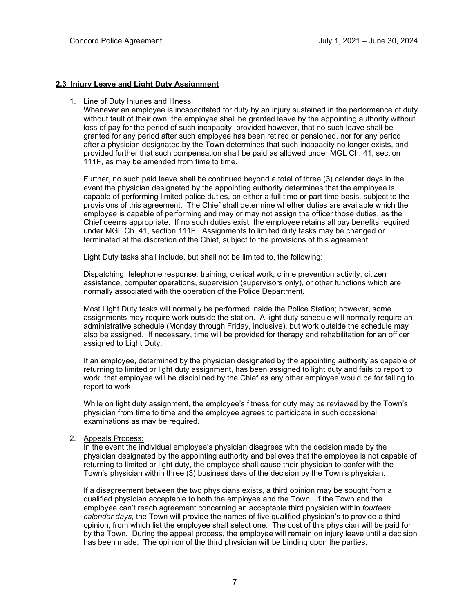#### **2.3 Injury Leave and Light Duty Assignment**

#### 1. Line of Duty Injuries and Illness:

Whenever an employee is incapacitated for duty by an injury sustained in the performance of duty without fault of their own, the employee shall be granted leave by the appointing authority without loss of pay for the period of such incapacity, provided however, that no such leave shall be granted for any period after such employee has been retired or pensioned, nor for any period after a physician designated by the Town determines that such incapacity no longer exists, and provided further that such compensation shall be paid as allowed under MGL Ch. 41, section 111F, as may be amended from time to time.

Further, no such paid leave shall be continued beyond a total of three (3) calendar days in the event the physician designated by the appointing authority determines that the employee is capable of performing limited police duties, on either a full time or part time basis, subject to the provisions of this agreement. The Chief shall determine whether duties are available which the employee is capable of performing and may or may not assign the officer those duties, as the Chief deems appropriate. If no such duties exist, the employee retains all pay benefits required under MGL Ch. 41, section 111F. Assignments to limited duty tasks may be changed or terminated at the discretion of the Chief, subject to the provisions of this agreement.

Light Duty tasks shall include, but shall not be limited to, the following:

Dispatching, telephone response, training, clerical work, crime prevention activity, citizen assistance, computer operations, supervision (supervisors only), or other functions which are normally associated with the operation of the Police Department.

Most Light Duty tasks will normally be performed inside the Police Station; however, some assignments may require work outside the station. A light duty schedule will normally require an administrative schedule (Monday through Friday, inclusive), but work outside the schedule may also be assigned. If necessary, time will be provided for therapy and rehabilitation for an officer assigned to Light Duty.

If an employee, determined by the physician designated by the appointing authority as capable of returning to limited or light duty assignment, has been assigned to light duty and fails to report to work, that employee will be disciplined by the Chief as any other employee would be for failing to report to work.

While on light duty assignment, the employee's fitness for duty may be reviewed by the Town's physician from time to time and the employee agrees to participate in such occasional examinations as may be required.

#### 2. Appeals Process:

In the event the individual employee's physician disagrees with the decision made by the physician designated by the appointing authority and believes that the employee is not capable of returning to limited or light duty, the employee shall cause their physician to confer with the Town's physician within three (3) business days of the decision by the Town's physician.

If a disagreement between the two physicians exists, a third opinion may be sought from a qualified physician acceptable to both the employee and the Town. If the Town and the employee can't reach agreement concerning an acceptable third physician within *fourteen calendar days*, the Town will provide the names of five qualified physician's to provide a third opinion, from which list the employee shall select one. The cost of this physician will be paid for by the Town. During the appeal process, the employee will remain on injury leave until a decision has been made. The opinion of the third physician will be binding upon the parties.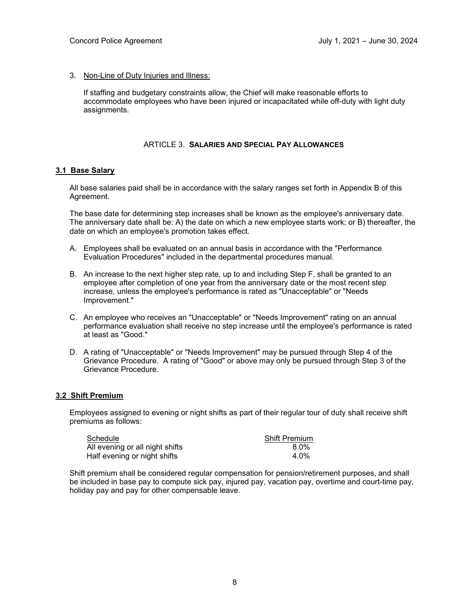3. Non-Line of Duty Injuries and Illness:

If staffing and budgetary constraints allow, the Chief will make reasonable efforts to accommodate employees who have been injured or incapacitated while off-duty with light duty assignments.

#### ARTICLE 3. **SALARIES AND SPECIAL PAY ALLOWANCES**

#### **3.1 Base Salary**

All base salaries paid shall be in accordance with the salary ranges set forth in Appendix B of this Agreement.

The base date for determining step increases shall be known as the employee's anniversary date. The anniversary date shall be: A) the date on which a new employee starts work; or B) thereafter, the date on which an employee's promotion takes effect.

- A. Employees shall be evaluated on an annual basis in accordance with the "Performance Evaluation Procedures" included in the departmental procedures manual.
- B. An increase to the next higher step rate, up to and including Step F, shall be granted to an employee after completion of one year from the anniversary date or the most recent step increase, unless the employee's performance is rated as "Unacceptable" or "Needs Improvement."
- C. An employee who receives an "Unacceptable" or "Needs Improvement" rating on an annual performance evaluation shall receive no step increase until the employee's performance is rated at least as "Good."
- D. A rating of "Unacceptable" or "Needs Improvement" may be pursued through Step 4 of the Grievance Procedure. A rating of "Good" or above may only be pursued through Step 3 of the Grievance Procedure.

#### **3.2 Shift Premium**

Employees assigned to evening or night shifts as part of their regular tour of duty shall receive shift premiums as follows:

| Schedule                        | <b>Shift Premium</b> |
|---------------------------------|----------------------|
| All evening or all night shifts | 8.0%                 |
| Half evening or night shifts    | $4.0\%$              |

Shift premium shall be considered regular compensation for pension/retirement purposes, and shall be included in base pay to compute sick pay, injured pay, vacation pay, overtime and court-time pay, holiday pay and pay for other compensable leave.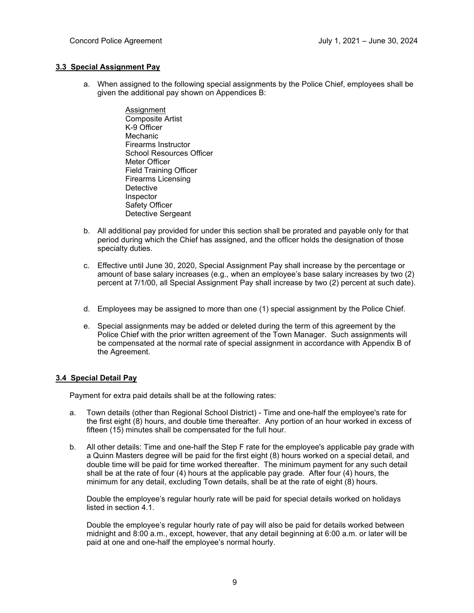#### **3.3 Special Assignment Pay**

- a. When assigned to the following special assignments by the Police Chief, employees shall be given the additional pay shown on Appendices B:
	- Assignment Composite Artist K-9 Officer Mechanic Firearms Instructor School Resources Officer Meter Officer Field Training Officer Firearms Licensing **Detective** Inspector Safety Officer Detective Sergeant
- b. All additional pay provided for under this section shall be prorated and payable only for that period during which the Chief has assigned, and the officer holds the designation of those specialty duties.
- c. Effective until June 30, 2020, Special Assignment Pay shall increase by the percentage or amount of base salary increases (e.g., when an employee's base salary increases by two (2) percent at 7/1/00, all Special Assignment Pay shall increase by two (2) percent at such date).
- d. Employees may be assigned to more than one (1) special assignment by the Police Chief.
- e. Special assignments may be added or deleted during the term of this agreement by the Police Chief with the prior written agreement of the Town Manager. Such assignments will be compensated at the normal rate of special assignment in accordance with Appendix B of the Agreement.

#### **3.4 Special Detail Pay**

Payment for extra paid details shall be at the following rates:

- a. Town details (other than Regional School District) Time and one-half the employee's rate for the first eight (8) hours, and double time thereafter. Any portion of an hour worked in excess of fifteen (15) minutes shall be compensated for the full hour.
- b. All other details: Time and one-half the Step F rate for the employee's applicable pay grade with a Quinn Masters degree will be paid for the first eight (8) hours worked on a special detail, and double time will be paid for time worked thereafter. The minimum payment for any such detail shall be at the rate of four (4) hours at the applicable pay grade. After four (4) hours, the minimum for any detail, excluding Town details, shall be at the rate of eight (8) hours.

Double the employee's regular hourly rate will be paid for special details worked on holidays listed in section 4.1.

Double the employee's regular hourly rate of pay will also be paid for details worked between midnight and 8:00 a.m., except, however, that any detail beginning at 6:00 a.m. or later will be paid at one and one-half the employee's normal hourly.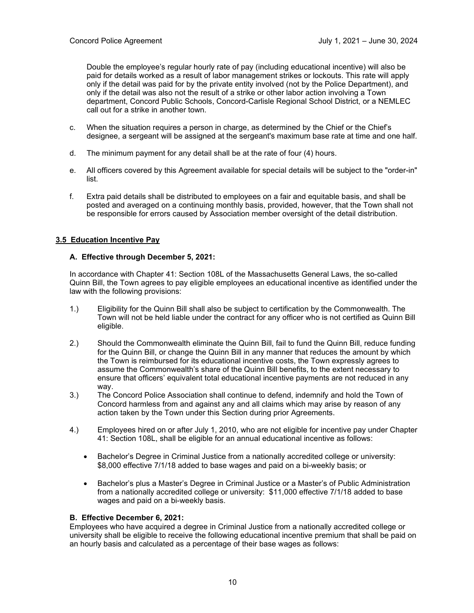Double the employee's regular hourly rate of pay (including educational incentive) will also be paid for details worked as a result of labor management strikes or lockouts. This rate will apply only if the detail was paid for by the private entity involved (not by the Police Department), and only if the detail was also not the result of a strike or other labor action involving a Town department, Concord Public Schools, Concord-Carlisle Regional School District, or a NEMLEC call out for a strike in another town.

- c. When the situation requires a person in charge, as determined by the Chief or the Chief's designee, a sergeant will be assigned at the sergeant's maximum base rate at time and one half.
- d. The minimum payment for any detail shall be at the rate of four (4) hours.
- e. All officers covered by this Agreement available for special details will be subject to the "order-in" list.
- f. Extra paid details shall be distributed to employees on a fair and equitable basis, and shall be posted and averaged on a continuing monthly basis, provided, however, that the Town shall not be responsible for errors caused by Association member oversight of the detail distribution.

#### **3.5 Education Incentive Pay**

#### **A. Effective through December 5, 2021:**

In accordance with Chapter 41: Section 108L of the Massachusetts General Laws, the so-called Quinn Bill, the Town agrees to pay eligible employees an educational incentive as identified under the law with the following provisions:

- 1.) Eligibility for the Quinn Bill shall also be subject to certification by the Commonwealth. The Town will not be held liable under the contract for any officer who is not certified as Quinn Bill eligible.
- 2.) Should the Commonwealth eliminate the Quinn Bill, fail to fund the Quinn Bill, reduce funding for the Quinn Bill, or change the Quinn Bill in any manner that reduces the amount by which the Town is reimbursed for its educational incentive costs, the Town expressly agrees to assume the Commonwealth's share of the Quinn Bill benefits, to the extent necessary to ensure that officers' equivalent total educational incentive payments are not reduced in any way.
- 3.) The Concord Police Association shall continue to defend, indemnify and hold the Town of Concord harmless from and against any and all claims which may arise by reason of any action taken by the Town under this Section during prior Agreements.
- 4.) Employees hired on or after July 1, 2010, who are not eligible for incentive pay under Chapter 41: Section 108L, shall be eligible for an annual educational incentive as follows:
	- Bachelor's Degree in Criminal Justice from a nationally accredited college or university: \$8,000 effective 7/1/18 added to base wages and paid on a bi-weekly basis; or
	- Bachelor's plus a Master's Degree in Criminal Justice or a Master's of Public Administration from a nationally accredited college or university: \$11,000 effective 7/1/18 added to base wages and paid on a bi-weekly basis.

#### **B. Effective December 6, 2021:**

Employees who have acquired a degree in Criminal Justice from a nationally accredited college or university shall be eligible to receive the following educational incentive premium that shall be paid on an hourly basis and calculated as a percentage of their base wages as follows: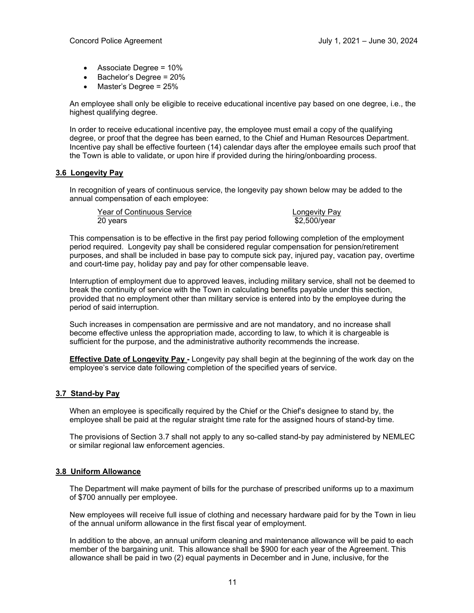- Associate Degree = 10%
- Bachelor's Degree = 20%
- Master's Degree = 25%

An employee shall only be eligible to receive educational incentive pay based on one degree, i.e., the highest qualifying degree.

In order to receive educational incentive pay, the employee must email a copy of the qualifying degree, or proof that the degree has been earned, to the Chief and Human Resources Department. Incentive pay shall be effective fourteen (14) calendar days after the employee emails such proof that the Town is able to validate, or upon hire if provided during the hiring/onboarding process.

#### **3.6 Longevity Pay**

In recognition of years of continuous service, the longevity pay shown below may be added to the annual compensation of each employee:

Year of Continuous Service<br>
20 years<br>
20 years

 $$2.500/year$ 

This compensation is to be effective in the first pay period following completion of the employment period required. Longevity pay shall be considered regular compensation for pension/retirement purposes, and shall be included in base pay to compute sick pay, injured pay, vacation pay, overtime and court-time pay, holiday pay and pay for other compensable leave.

Interruption of employment due to approved leaves, including military service, shall not be deemed to break the continuity of service with the Town in calculating benefits payable under this section, provided that no employment other than military service is entered into by the employee during the period of said interruption.

Such increases in compensation are permissive and are not mandatory, and no increase shall become effective unless the appropriation made, according to law, to which it is chargeable is sufficient for the purpose, and the administrative authority recommends the increase.

**Effective Date of Longevity Pay -** Longevity pay shall begin at the beginning of the work day on the employee's service date following completion of the specified years of service.

#### **3.7 Stand-by Pay**

When an employee is specifically required by the Chief or the Chief's designee to stand by, the employee shall be paid at the regular straight time rate for the assigned hours of stand-by time.

The provisions of Section 3.7 shall not apply to any so-called stand-by pay administered by NEMLEC or similar regional law enforcement agencies.

#### **3.8 Uniform Allowance**

The Department will make payment of bills for the purchase of prescribed uniforms up to a maximum of \$700 annually per employee.

New employees will receive full issue of clothing and necessary hardware paid for by the Town in lieu of the annual uniform allowance in the first fiscal year of employment.

In addition to the above, an annual uniform cleaning and maintenance allowance will be paid to each member of the bargaining unit. This allowance shall be \$900 for each year of the Agreement. This allowance shall be paid in two (2) equal payments in December and in June, inclusive, for the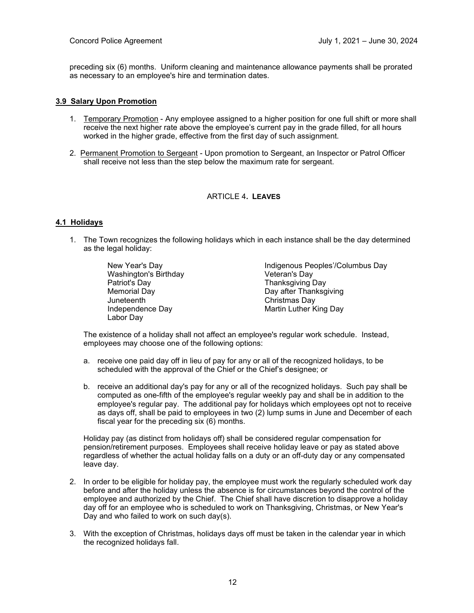preceding six (6) months. Uniform cleaning and maintenance allowance payments shall be prorated as necessary to an employee's hire and termination dates.

#### **3.9 Salary Upon Promotion**

- 1. Temporary Promotion Any employee assigned to a higher position for one full shift or more shall receive the next higher rate above the employee's current pay in the grade filled, for all hours worked in the higher grade, effective from the first day of such assignment.
- 2. Permanent Promotion to Sergeant Upon promotion to Sergeant, an Inspector or Patrol Officer shall receive not less than the step below the maximum rate for sergeant.

#### ARTICLE 4**. LEAVES**

#### **4.1 Holidays**

1. The Town recognizes the following holidays which in each instance shall be the day determined as the legal holiday:

> Washington's Birthday<br>Patriot's Day Patriot's Day Thanksgiving Day Juneteenth Christmas Day Labor Day

New Year's Day Indigenous Peoples'/Columbus Day Day after Thanksgiving **Martin Luther King Day** 

The existence of a holiday shall not affect an employee's regular work schedule. Instead, employees may choose one of the following options:

- a. receive one paid day off in lieu of pay for any or all of the recognized holidays, to be scheduled with the approval of the Chief or the Chief's designee; or
- b. receive an additional day's pay for any or all of the recognized holidays. Such pay shall be computed as one-fifth of the employee's regular weekly pay and shall be in addition to the employee's regular pay. The additional pay for holidays which employees opt not to receive as days off, shall be paid to employees in two (2) lump sums in June and December of each fiscal year for the preceding six (6) months.

Holiday pay (as distinct from holidays off) shall be considered regular compensation for pension/retirement purposes. Employees shall receive holiday leave or pay as stated above regardless of whether the actual holiday falls on a duty or an off-duty day or any compensated leave day.

- 2. In order to be eligible for holiday pay, the employee must work the regularly scheduled work day before and after the holiday unless the absence is for circumstances beyond the control of the employee and authorized by the Chief. The Chief shall have discretion to disapprove a holiday day off for an employee who is scheduled to work on Thanksgiving, Christmas, or New Year's Day and who failed to work on such day(s).
- 3. With the exception of Christmas, holidays days off must be taken in the calendar year in which the recognized holidays fall.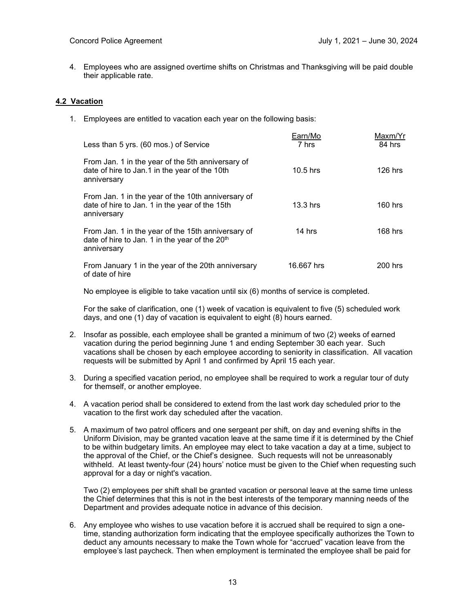4. Employees who are assigned overtime shifts on Christmas and Thanksgiving will be paid double their applicable rate.

#### **4.2 Vacation**

1. Employees are entitled to vacation each year on the following basis:

| Less than 5 yrs. (60 mos.) of Service                                                                                           | Earn/Mo<br>7 hrs | Maxm/Yr<br>84 hrs |
|---------------------------------------------------------------------------------------------------------------------------------|------------------|-------------------|
| From Jan. 1 in the year of the 5th anniversary of<br>date of hire to Jan.1 in the year of the 10th<br>anniversary               | $10.5$ hrs       | $126$ hrs         |
| From Jan. 1 in the year of the 10th anniversary of<br>date of hire to Jan. 1 in the year of the 15th<br>anniversary             | $13.3$ hrs       | $160$ hrs         |
| From Jan. 1 in the year of the 15th anniversary of<br>date of hire to Jan. 1 in the year of the 20 <sup>th</sup><br>anniversary | 14 hrs           | $168$ hrs         |
| From January 1 in the year of the 20th anniversary<br>of date of hire                                                           | 16.667 hrs       | 200 hrs           |

No employee is eligible to take vacation until six (6) months of service is completed.

For the sake of clarification, one (1) week of vacation is equivalent to five (5) scheduled work days, and one (1) day of vacation is equivalent to eight (8) hours earned.

- 2. Insofar as possible, each employee shall be granted a minimum of two (2) weeks of earned vacation during the period beginning June 1 and ending September 30 each year. Such vacations shall be chosen by each employee according to seniority in classification. All vacation requests will be submitted by April 1 and confirmed by April 15 each year.
- 3. During a specified vacation period, no employee shall be required to work a regular tour of duty for themself, or another employee.
- 4. A vacation period shall be considered to extend from the last work day scheduled prior to the vacation to the first work day scheduled after the vacation.
- 5. A maximum of two patrol officers and one sergeant per shift, on day and evening shifts in the Uniform Division, may be granted vacation leave at the same time if it is determined by the Chief to be within budgetary limits. An employee may elect to take vacation a day at a time, subject to the approval of the Chief, or the Chief's designee. Such requests will not be unreasonably withheld. At least twenty-four (24) hours' notice must be given to the Chief when requesting such approval for a day or night's vacation.

Two (2) employees per shift shall be granted vacation or personal leave at the same time unless the Chief determines that this is not in the best interests of the temporary manning needs of the Department and provides adequate notice in advance of this decision.

6. Any employee who wishes to use vacation before it is accrued shall be required to sign a onetime, standing authorization form indicating that the employee specifically authorizes the Town to deduct any amounts necessary to make the Town whole for "accrued" vacation leave from the employee's last paycheck. Then when employment is terminated the employee shall be paid for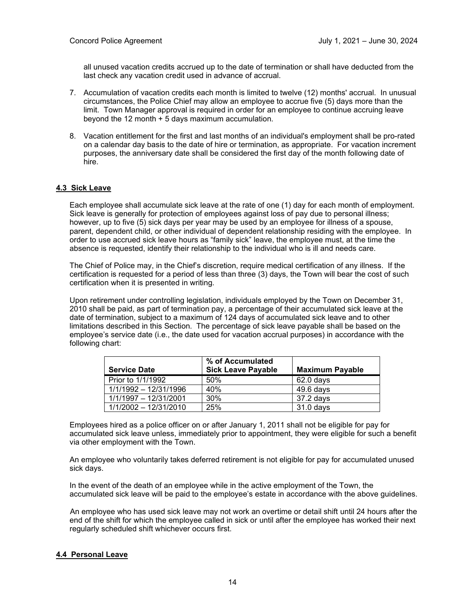all unused vacation credits accrued up to the date of termination or shall have deducted from the last check any vacation credit used in advance of accrual.

- 7. Accumulation of vacation credits each month is limited to twelve (12) months' accrual. In unusual circumstances, the Police Chief may allow an employee to accrue five (5) days more than the limit. Town Manager approval is required in order for an employee to continue accruing leave beyond the 12 month + 5 days maximum accumulation.
- 8. Vacation entitlement for the first and last months of an individual's employment shall be pro-rated on a calendar day basis to the date of hire or termination, as appropriate. For vacation increment purposes, the anniversary date shall be considered the first day of the month following date of hire.

#### **4.3 Sick Leave**

Each employee shall accumulate sick leave at the rate of one (1) day for each month of employment. Sick leave is generally for protection of employees against loss of pay due to personal illness; however, up to five (5) sick days per year may be used by an employee for illness of a spouse, parent, dependent child, or other individual of dependent relationship residing with the employee. In order to use accrued sick leave hours as "family sick" leave, the employee must, at the time the absence is requested, identify their relationship to the individual who is ill and needs care.

The Chief of Police may, in the Chief's discretion, require medical certification of any illness. If the certification is requested for a period of less than three (3) days, the Town will bear the cost of such certification when it is presented in writing.

Upon retirement under controlling legislation, individuals employed by the Town on December 31, 2010 shall be paid, as part of termination pay, a percentage of their accumulated sick leave at the date of termination, subject to a maximum of 124 days of accumulated sick leave and to other limitations described in this Section. The percentage of sick leave payable shall be based on the employee's service date (i.e., the date used for vacation accrual purposes) in accordance with the following chart:

|                       | % of Accumulated          |                        |
|-----------------------|---------------------------|------------------------|
| <b>Service Date</b>   | <b>Sick Leave Payable</b> | <b>Maximum Payable</b> |
| Prior to 1/1/1992     | 50%                       | $62.0$ davs            |
| 1/1/1992 - 12/31/1996 | 40%                       | $49.6$ days            |
| 1/1/1997 - 12/31/2001 | 30%                       | 37.2 days              |
| 1/1/2002 - 12/31/2010 | 25%                       | $31.0$ days            |

Employees hired as a police officer on or after January 1, 2011 shall not be eligible for pay for accumulated sick leave unless, immediately prior to appointment, they were eligible for such a benefit via other employment with the Town.

An employee who voluntarily takes deferred retirement is not eligible for pay for accumulated unused sick days.

In the event of the death of an employee while in the active employment of the Town, the accumulated sick leave will be paid to the employee's estate in accordance with the above guidelines.

An employee who has used sick leave may not work an overtime or detail shift until 24 hours after the end of the shift for which the employee called in sick or until after the employee has worked their next regularly scheduled shift whichever occurs first.

#### **4.4 Personal Leave**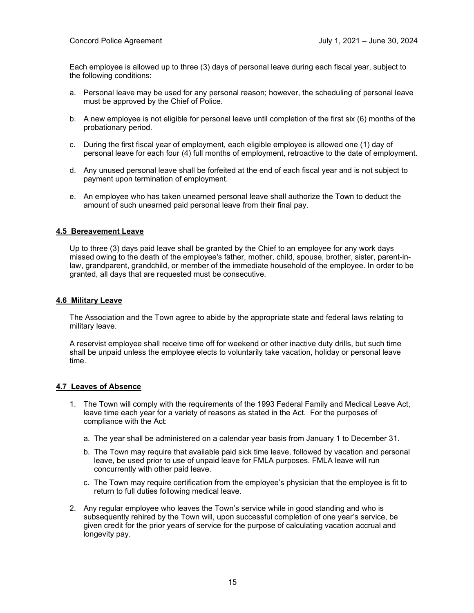Each employee is allowed up to three (3) days of personal leave during each fiscal year, subject to the following conditions:

- a. Personal leave may be used for any personal reason; however, the scheduling of personal leave must be approved by the Chief of Police.
- b. A new employee is not eligible for personal leave until completion of the first six (6) months of the probationary period.
- c. During the first fiscal year of employment, each eligible employee is allowed one (1) day of personal leave for each four (4) full months of employment, retroactive to the date of employment.
- d. Any unused personal leave shall be forfeited at the end of each fiscal year and is not subject to payment upon termination of employment.
- e. An employee who has taken unearned personal leave shall authorize the Town to deduct the amount of such unearned paid personal leave from their final pay.

#### **4.5 Bereavement Leave**

Up to three (3) days paid leave shall be granted by the Chief to an employee for any work days missed owing to the death of the employee's father, mother, child, spouse, brother, sister, parent-inlaw, grandparent, grandchild, or member of the immediate household of the employee. In order to be granted, all days that are requested must be consecutive.

#### **4.6 Military Leave**

The Association and the Town agree to abide by the appropriate state and federal laws relating to military leave.

A reservist employee shall receive time off for weekend or other inactive duty drills, but such time shall be unpaid unless the employee elects to voluntarily take vacation, holiday or personal leave time.

#### **4.7 Leaves of Absence**

- 1. The Town will comply with the requirements of the 1993 Federal Family and Medical Leave Act, leave time each year for a variety of reasons as stated in the Act. For the purposes of compliance with the Act:
	- a. The year shall be administered on a calendar year basis from January 1 to December 31.
	- b. The Town may require that available paid sick time leave, followed by vacation and personal leave, be used prior to use of unpaid leave for FMLA purposes. FMLA leave will run concurrently with other paid leave.
	- c. The Town may require certification from the employee's physician that the employee is fit to return to full duties following medical leave.
- 2. Any regular employee who leaves the Town's service while in good standing and who is subsequently rehired by the Town will, upon successful completion of one year's service, be given credit for the prior years of service for the purpose of calculating vacation accrual and longevity pay.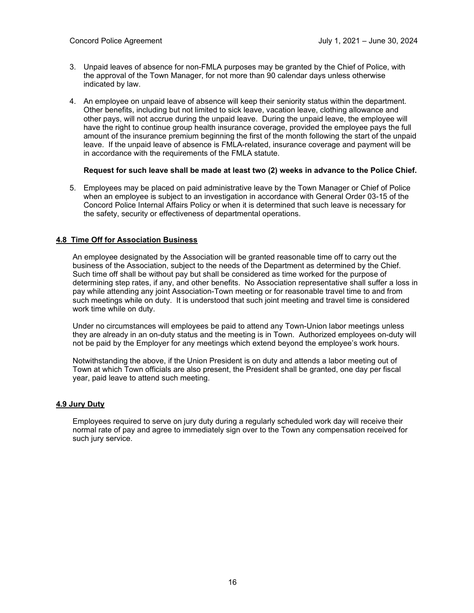- 3. Unpaid leaves of absence for non-FMLA purposes may be granted by the Chief of Police, with the approval of the Town Manager, for not more than 90 calendar days unless otherwise indicated by law.
- 4. An employee on unpaid leave of absence will keep their seniority status within the department. Other benefits, including but not limited to sick leave, vacation leave, clothing allowance and other pays, will not accrue during the unpaid leave. During the unpaid leave, the employee will have the right to continue group health insurance coverage, provided the employee pays the full amount of the insurance premium beginning the first of the month following the start of the unpaid leave. If the unpaid leave of absence is FMLA-related, insurance coverage and payment will be in accordance with the requirements of the FMLA statute.

#### **Request for such leave shall be made at least two (2) weeks in advance to the Police Chief.**

5. Employees may be placed on paid administrative leave by the Town Manager or Chief of Police when an employee is subject to an investigation in accordance with General Order 03-15 of the Concord Police Internal Affairs Policy or when it is determined that such leave is necessary for the safety, security or effectiveness of departmental operations.

#### **4.8 Time Off for Association Business**

An employee designated by the Association will be granted reasonable time off to carry out the business of the Association, subject to the needs of the Department as determined by the Chief. Such time off shall be without pay but shall be considered as time worked for the purpose of determining step rates, if any, and other benefits. No Association representative shall suffer a loss in pay while attending any joint Association-Town meeting or for reasonable travel time to and from such meetings while on duty. It is understood that such joint meeting and travel time is considered work time while on duty.

Under no circumstances will employees be paid to attend any Town-Union labor meetings unless they are already in an on-duty status and the meeting is in Town. Authorized employees on-duty will not be paid by the Employer for any meetings which extend beyond the employee's work hours.

Notwithstanding the above, if the Union President is on duty and attends a labor meeting out of Town at which Town officials are also present, the President shall be granted, one day per fiscal year, paid leave to attend such meeting.

#### **4.9 Jury Duty**

Employees required to serve on jury duty during a regularly scheduled work day will receive their normal rate of pay and agree to immediately sign over to the Town any compensation received for such jury service.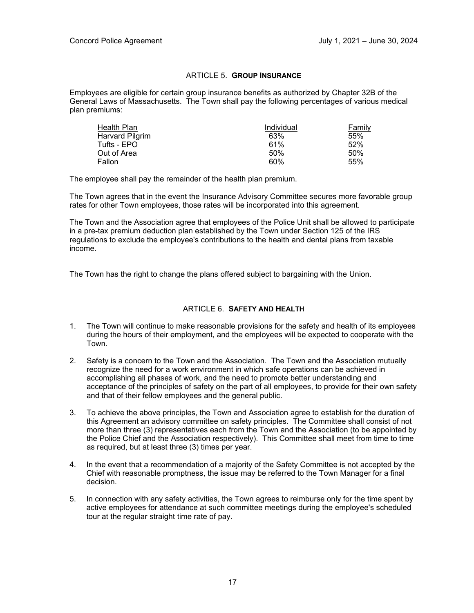#### ARTICLE 5. **GROUP INSURANCE**

Employees are eligible for certain group insurance benefits as authorized by Chapter 32B of the General Laws of Massachusetts. The Town shall pay the following percentages of various medical plan premiums:

| Health Plan     | Individual | Family |
|-----------------|------------|--------|
| Harvard Pilgrim | 63%        | 55%    |
| Tufts - EPO     | 61%        | 52%    |
| Out of Area     | 50%        | .50%   |
| Fallon          | 60%        | 55%    |

The employee shall pay the remainder of the health plan premium.

The Town agrees that in the event the Insurance Advisory Committee secures more favorable group rates for other Town employees, those rates will be incorporated into this agreement.

The Town and the Association agree that employees of the Police Unit shall be allowed to participate in a pre-tax premium deduction plan established by the Town under Section 125 of the IRS regulations to exclude the employee's contributions to the health and dental plans from taxable income.

The Town has the right to change the plans offered subject to bargaining with the Union.

#### ARTICLE 6. **SAFETY AND HEALTH**

- 1. The Town will continue to make reasonable provisions for the safety and health of its employees during the hours of their employment, and the employees will be expected to cooperate with the Town.
- 2. Safety is a concern to the Town and the Association. The Town and the Association mutually recognize the need for a work environment in which safe operations can be achieved in accomplishing all phases of work, and the need to promote better understanding and acceptance of the principles of safety on the part of all employees, to provide for their own safety and that of their fellow employees and the general public.
- 3. To achieve the above principles, the Town and Association agree to establish for the duration of this Agreement an advisory committee on safety principles. The Committee shall consist of not more than three (3) representatives each from the Town and the Association (to be appointed by the Police Chief and the Association respectively). This Committee shall meet from time to time as required, but at least three (3) times per year.
- 4. In the event that a recommendation of a majority of the Safety Committee is not accepted by the Chief with reasonable promptness, the issue may be referred to the Town Manager for a final decision.
- 5. In connection with any safety activities, the Town agrees to reimburse only for the time spent by active employees for attendance at such committee meetings during the employee's scheduled tour at the regular straight time rate of pay.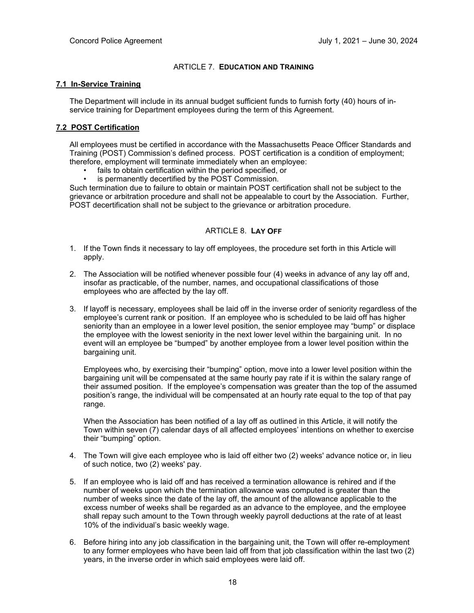#### ARTICLE 7. **EDUCATION AND TRAINING**

#### **7.1 In-Service Training**

The Department will include in its annual budget sufficient funds to furnish forty (40) hours of inservice training for Department employees during the term of this Agreement.

#### **7.2 POST Certification**

All employees must be certified in accordance with the Massachusetts Peace Officer Standards and Training (POST) Commission's defined process. POST certification is a condition of employment; therefore, employment will terminate immediately when an employee:

- fails to obtain certification within the period specified, or
- is permanently decertified by the POST Commission.

Such termination due to failure to obtain or maintain POST certification shall not be subject to the grievance or arbitration procedure and shall not be appealable to court by the Association. Further, POST decertification shall not be subject to the grievance or arbitration procedure.

#### ARTICLE 8. **LAY OFF**

- 1. If the Town finds it necessary to lay off employees, the procedure set forth in this Article will apply.
- 2. The Association will be notified whenever possible four (4) weeks in advance of any lay off and, insofar as practicable, of the number, names, and occupational classifications of those employees who are affected by the lay off.
- 3. If layoff is necessary, employees shall be laid off in the inverse order of seniority regardless of the employee's current rank or position. If an employee who is scheduled to be laid off has higher seniority than an employee in a lower level position, the senior employee may "bump" or displace the employee with the lowest seniority in the next lower level within the bargaining unit. In no event will an employee be "bumped" by another employee from a lower level position within the bargaining unit.

Employees who, by exercising their "bumping" option, move into a lower level position within the bargaining unit will be compensated at the same hourly pay rate if it is within the salary range of their assumed position. If the employee's compensation was greater than the top of the assumed position's range, the individual will be compensated at an hourly rate equal to the top of that pay range.

When the Association has been notified of a lay off as outlined in this Article, it will notify the Town within seven (7) calendar days of all affected employees' intentions on whether to exercise their "bumping" option.

- 4. The Town will give each employee who is laid off either two (2) weeks' advance notice or, in lieu of such notice, two (2) weeks' pay.
- 5. If an employee who is laid off and has received a termination allowance is rehired and if the number of weeks upon which the termination allowance was computed is greater than the number of weeks since the date of the lay off, the amount of the allowance applicable to the excess number of weeks shall be regarded as an advance to the employee, and the employee shall repay such amount to the Town through weekly payroll deductions at the rate of at least 10% of the individual's basic weekly wage.
- 6. Before hiring into any job classification in the bargaining unit, the Town will offer re-employment to any former employees who have been laid off from that job classification within the last two (2) years, in the inverse order in which said employees were laid off.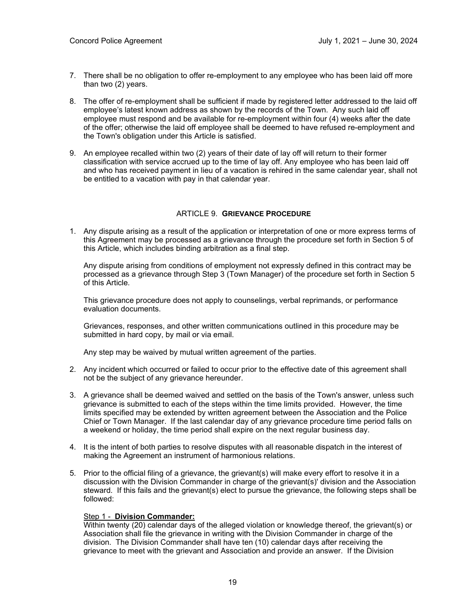- 7. There shall be no obligation to offer re-employment to any employee who has been laid off more than two (2) years.
- 8. The offer of re-employment shall be sufficient if made by registered letter addressed to the laid off employee's latest known address as shown by the records of the Town. Any such laid off employee must respond and be available for re-employment within four (4) weeks after the date of the offer; otherwise the laid off employee shall be deemed to have refused re-employment and the Town's obligation under this Article is satisfied.
- 9. An employee recalled within two (2) years of their date of lay off will return to their former classification with service accrued up to the time of lay off. Any employee who has been laid off and who has received payment in lieu of a vacation is rehired in the same calendar year, shall not be entitled to a vacation with pay in that calendar year.

#### ARTICLE 9. **GRIEVANCE PROCEDURE**

1. Any dispute arising as a result of the application or interpretation of one or more express terms of this Agreement may be processed as a grievance through the procedure set forth in Section 5 of this Article, which includes binding arbitration as a final step.

Any dispute arising from conditions of employment not expressly defined in this contract may be processed as a grievance through Step 3 (Town Manager) of the procedure set forth in Section 5 of this Article.

This grievance procedure does not apply to counselings, verbal reprimands, or performance evaluation documents.

Grievances, responses, and other written communications outlined in this procedure may be submitted in hard copy, by mail or via email.

Any step may be waived by mutual written agreement of the parties.

- 2. Any incident which occurred or failed to occur prior to the effective date of this agreement shall not be the subject of any grievance hereunder.
- 3. A grievance shall be deemed waived and settled on the basis of the Town's answer, unless such grievance is submitted to each of the steps within the time limits provided. However, the time limits specified may be extended by written agreement between the Association and the Police Chief or Town Manager. If the last calendar day of any grievance procedure time period falls on a weekend or holiday, the time period shall expire on the next regular business day.
- 4. It is the intent of both parties to resolve disputes with all reasonable dispatch in the interest of making the Agreement an instrument of harmonious relations.
- 5. Prior to the official filing of a grievance, the grievant(s) will make every effort to resolve it in a discussion with the Division Commander in charge of the grievant(s)' division and the Association steward. If this fails and the grievant(s) elect to pursue the grievance, the following steps shall be followed:

#### Step 1 - **Division Commander:**

Within twenty (20) calendar days of the alleged violation or knowledge thereof, the grievant(s) or Association shall file the grievance in writing with the Division Commander in charge of the division. The Division Commander shall have ten (10) calendar days after receiving the grievance to meet with the grievant and Association and provide an answer. If the Division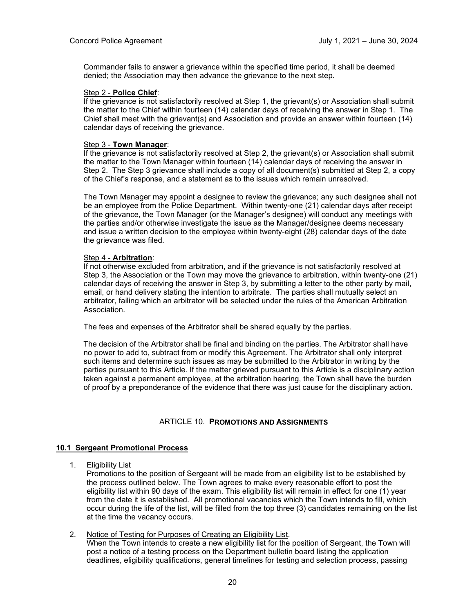Commander fails to answer a grievance within the specified time period, it shall be deemed denied; the Association may then advance the grievance to the next step.

#### Step 2 - **Police Chief**:

If the grievance is not satisfactorily resolved at Step 1, the grievant(s) or Association shall submit the matter to the Chief within fourteen (14) calendar days of receiving the answer in Step 1. The Chief shall meet with the grievant(s) and Association and provide an answer within fourteen (14) calendar days of receiving the grievance.

#### Step 3 - **Town Manager**:

If the grievance is not satisfactorily resolved at Step 2, the grievant(s) or Association shall submit the matter to the Town Manager within fourteen (14) calendar days of receiving the answer in Step 2. The Step 3 grievance shall include a copy of all document(s) submitted at Step 2, a copy of the Chief's response, and a statement as to the issues which remain unresolved.

The Town Manager may appoint a designee to review the grievance; any such designee shall not be an employee from the Police Department. Within twenty-one (21) calendar days after receipt of the grievance, the Town Manager (or the Manager's designee) will conduct any meetings with the parties and/or otherwise investigate the issue as the Manager/designee deems necessary and issue a written decision to the employee within twenty-eight (28) calendar days of the date the grievance was filed.

#### Step 4 - **Arbitration**:

If not otherwise excluded from arbitration, and if the grievance is not satisfactorily resolved at Step 3, the Association or the Town may move the grievance to arbitration, within twenty-one (21) calendar days of receiving the answer in Step 3, by submitting a letter to the other party by mail, email, or hand delivery stating the intention to arbitrate. The parties shall mutually select an arbitrator, failing which an arbitrator will be selected under the rules of the American Arbitration Association.

The fees and expenses of the Arbitrator shall be shared equally by the parties.

The decision of the Arbitrator shall be final and binding on the parties. The Arbitrator shall have no power to add to, subtract from or modify this Agreement. The Arbitrator shall only interpret such items and determine such issues as may be submitted to the Arbitrator in writing by the parties pursuant to this Article. If the matter grieved pursuant to this Article is a disciplinary action taken against a permanent employee, at the arbitration hearing, the Town shall have the burden of proof by a preponderance of the evidence that there was just cause for the disciplinary action.

#### ARTICLE 10. **PROMOTIONS AND ASSIGNMENTS**

#### **10.1 Sergeant Promotional Process**

1. Eligibility List

Promotions to the position of Sergeant will be made from an eligibility list to be established by the process outlined below. The Town agrees to make every reasonable effort to post the eligibility list within 90 days of the exam. This eligibility list will remain in effect for one (1) year from the date it is established. All promotional vacancies which the Town intends to fill, which occur during the life of the list, will be filled from the top three (3) candidates remaining on the list at the time the vacancy occurs.

2. Notice of Testing for Purposes of Creating an Eligibility List. When the Town intends to create a new eligibility list for the position of Sergeant, the Town will post a notice of a testing process on the Department bulletin board listing the application deadlines, eligibility qualifications, general timelines for testing and selection process, passing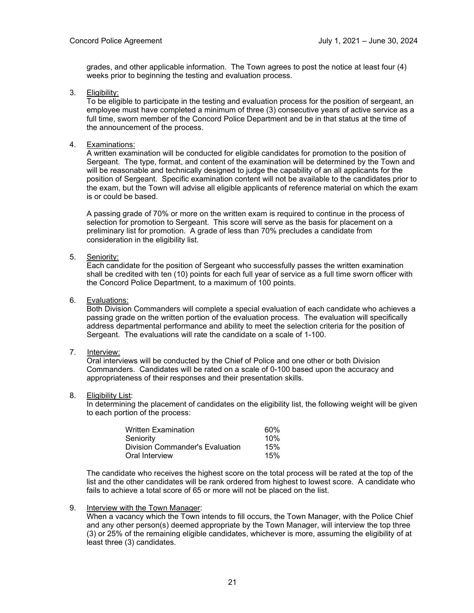grades, and other applicable information. The Town agrees to post the notice at least four (4) weeks prior to beginning the testing and evaluation process.

3. Eligibility:

To be eligible to participate in the testing and evaluation process for the position of sergeant, an employee must have completed a minimum of three (3) consecutive years of active service as a full time, sworn member of the Concord Police Department and be in that status at the time of the announcement of the process.

4. Examinations:

A written examination will be conducted for eligible candidates for promotion to the position of Sergeant. The type, format, and content of the examination will be determined by the Town and will be reasonable and technically designed to judge the capability of an all applicants for the position of Sergeant. Specific examination content will not be available to the candidates prior to the exam, but the Town will advise all eligible applicants of reference material on which the exam is or could be based.

A passing grade of 70% or more on the written exam is required to continue in the process of selection for promotion to Sergeant. This score will serve as the basis for placement on a preliminary list for promotion. A grade of less than 70% precludes a candidate from consideration in the eligibility list.

5. Seniority:

Each candidate for the position of Sergeant who successfully passes the written examination shall be credited with ten (10) points for each full year of service as a full time sworn officer with the Concord Police Department, to a maximum of 100 points.

6. Evaluations:

Both Division Commanders will complete a special evaluation of each candidate who achieves a passing grade on the written portion of the evaluation process. The evaluation will specifically address departmental performance and ability to meet the selection criteria for the position of Sergeant. The evaluations will rate the candidate on a scale of 1-100.

7. Interview:

Oral interviews will be conducted by the Chief of Police and one other or both Division Commanders. Candidates will be rated on a scale of 0-100 based upon the accuracy and appropriateness of their responses and their presentation skills.

8. Eligibility List:

In determining the placement of candidates on the eligibility list, the following weight will be given to each portion of the process:

| <b>Written Examination</b>      | 60% |
|---------------------------------|-----|
| Seniority                       | 10% |
| Division Commander's Evaluation | 15% |
| Oral Interview                  | 15% |

The candidate who receives the highest score on the total process will be rated at the top of the list and the other candidates will be rank ordered from highest to lowest score. A candidate who fails to achieve a total score of 65 or more will not be placed on the list.

9. Interview with the Town Manager:

When a vacancy which the Town intends to fill occurs, the Town Manager, with the Police Chief and any other person(s) deemed appropriate by the Town Manager, will interview the top three (3) or 25% of the remaining eligible candidates, whichever is more, assuming the eligibility of at least three (3) candidates.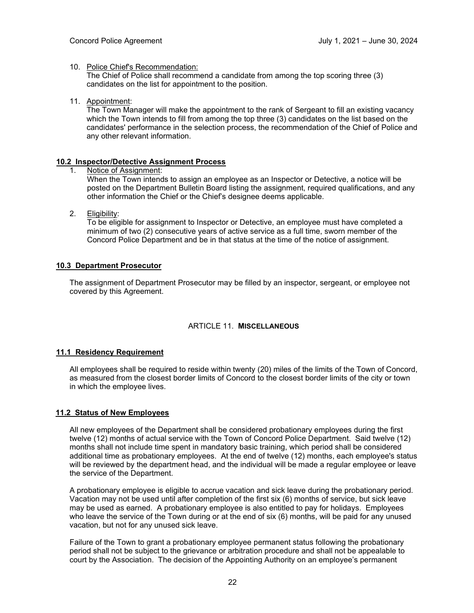#### 10. Police Chief's Recommendation:

The Chief of Police shall recommend a candidate from among the top scoring three (3) candidates on the list for appointment to the position.

11. Appointment:

The Town Manager will make the appointment to the rank of Sergeant to fill an existing vacancy which the Town intends to fill from among the top three (3) candidates on the list based on the candidates' performance in the selection process, the recommendation of the Chief of Police and any other relevant information.

# **10.2 Inspector/Detective Assignment Process**

Notice of Assignment:

When the Town intends to assign an employee as an Inspector or Detective, a notice will be posted on the Department Bulletin Board listing the assignment, required qualifications, and any other information the Chief or the Chief's designee deems applicable.

2. Eligibility:

To be eligible for assignment to Inspector or Detective, an employee must have completed a minimum of two (2) consecutive years of active service as a full time, sworn member of the Concord Police Department and be in that status at the time of the notice of assignment.

#### **10.3 Department Prosecutor**

The assignment of Department Prosecutor may be filled by an inspector, sergeant, or employee not covered by this Agreement.

#### ARTICLE 11. **MISCELLANEOUS**

#### **11.1 Residency Requirement**

All employees shall be required to reside within twenty (20) miles of the limits of the Town of Concord, as measured from the closest border limits of Concord to the closest border limits of the city or town in which the employee lives.

#### **11.2 Status of New Employees**

All new employees of the Department shall be considered probationary employees during the first twelve (12) months of actual service with the Town of Concord Police Department. Said twelve (12) months shall not include time spent in mandatory basic training, which period shall be considered additional time as probationary employees. At the end of twelve (12) months, each employee's status will be reviewed by the department head, and the individual will be made a regular employee or leave the service of the Department.

A probationary employee is eligible to accrue vacation and sick leave during the probationary period. Vacation may not be used until after completion of the first six (6) months of service, but sick leave may be used as earned. A probationary employee is also entitled to pay for holidays. Employees who leave the service of the Town during or at the end of six (6) months, will be paid for any unused vacation, but not for any unused sick leave.

Failure of the Town to grant a probationary employee permanent status following the probationary period shall not be subject to the grievance or arbitration procedure and shall not be appealable to court by the Association. The decision of the Appointing Authority on an employee's permanent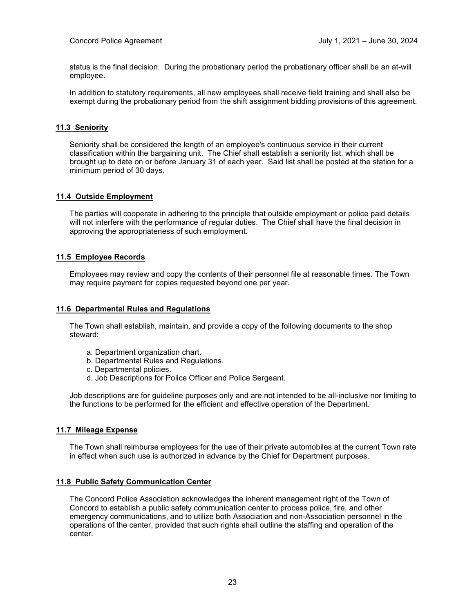status is the final decision. During the probationary period the probationary officer shall be an at-will employee.

In addition to statutory requirements, all new employees shall receive field training and shall also be exempt during the probationary period from the shift assignment bidding provisions of this agreement.

#### **11.3 Seniority**

Seniority shall be considered the length of an employee's continuous service in their current classification within the bargaining unit. The Chief shall establish a seniority list, which shall be brought up to date on or before January 31 of each year. Said list shall be posted at the station for a minimum period of 30 days.

#### **11.4 Outside Employment**

The parties will cooperate in adhering to the principle that outside employment or police paid details will not interfere with the performance of regular duties. The Chief shall have the final decision in approving the appropriateness of such employment.

#### **11.5 Employee Records**

Employees may review and copy the contents of their personnel file at reasonable times. The Town may require payment for copies requested beyond one per year.

#### **11.6 Departmental Rules and Regulations**

The Town shall establish, maintain, and provide a copy of the following documents to the shop steward:

- a. Department organization chart.
- b. Departmental Rules and Regulations.
- c. Departmental policies.
- d. Job Descriptions for Police Officer and Police Sergeant.

Job descriptions are for guideline purposes only and are not intended to be all-inclusive nor limiting to the functions to be performed for the efficient and effective operation of the Department.

#### **11.7 Mileage Expense**

The Town shall reimburse employees for the use of their private automobiles at the current Town rate in effect when such use is authorized in advance by the Chief for Department purposes.

#### **11.8 Public Safety Communication Center**

The Concord Police Association acknowledges the inherent management right of the Town of Concord to establish a public safety communication center to process police, fire, and other emergency communications, and to utilize both Association and non-Association personnel in the operations of the center, provided that such rights shall outline the staffing and operation of the center.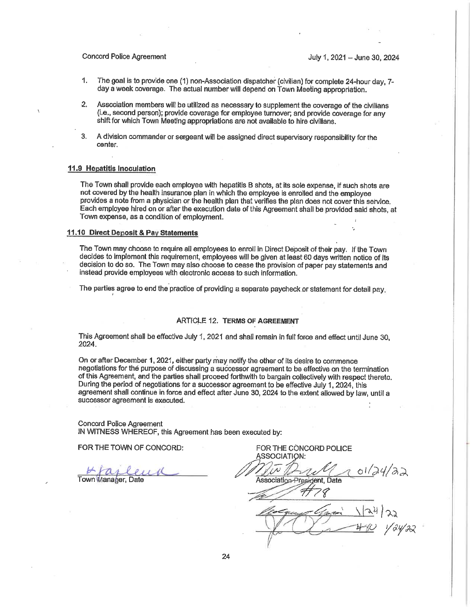#### **Concord Police Agreement**

July 1, 2021 - June 30, 2024

- $\mathbf{1}$ . The goal is to provide one (1) non-Association dispatcher (civilian) for complete 24-hour day, 7day a week coverage. The actual number will depend on Town Meeting appropriation.
- $\mathbf{2}$ Association members will be utilized as necessary to supplement the coverage of the civilians (i.e., second person); provide coverage for employee turnover; and provide coverage for any shift for which Town Meeting appropriations are not available to hire civilians.
- 3. A division commander or sergeant will be assigned direct supervisory responsibility for the center.

#### 11.9 Hepatitis Inoculation

The Town shall provide each employee with hepatitis B shots, at its sole expense, if such shots are not covered by the health insurance plan in which the employee is enrolled and the employee provides a note from a physician or the health plan that verifies the plan does not cover this service. Each emplovee hired on or after the execution date of this Agreement shall be provided said shots, at Town expense, as a condition of employment.

#### 11.10 Direct Deposit & Pay Statements

The Town may choose to require all employees to enroll in Direct Deposit of their pay. If the Town decides to implement this requirement, employees will be given at least 60 days written notice of its decision to do so. The Town may also choose to cease the provision of paper pay statements and instead provide employees with electronic access to such information.

The parties agree to end the practice of providing a separate paycheck or statement for detail pay.

#### **ARTICLE 12. TERMS OF AGREEMENT**

This Agreement shall be effective July 1, 2021 and shall remain in full force and effect until June 30, 2024.

On or after December 1, 2021, either party may notify the other of its desire to commence negotiations for the purpose of discussing a successor agreement to be effective on the termination of this Agreement, and the parties shall proceed forthwith to bargain collectively with respect thereto. During the period of negotiations for a successor agreement to be effective July 1, 2024, this agreement shall continue in force and effect after June 30, 2024 to the extent allowed by law, until a successor agreement is executed.

**Concord Police Agreement** IN WITNESS WHEREOF, this Agreement has been executed by:

FOR THE TOWN OF CONCORD:

Town Manager, Date

FOR THE CONCORD POLICE SSOCIATION<sup>,</sup>  $01/24/22$ 

Association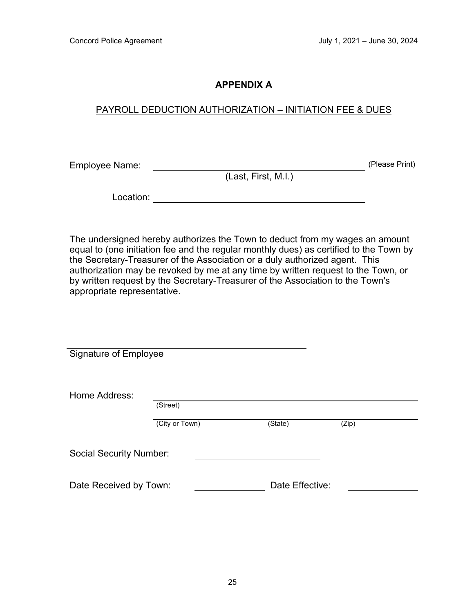## **APPENDIX A**

### PAYROLL DEDUCTION AUTHORIZATION – INITIATION FEE & DUES

Employee Name: (Please Print)

(Last, First, M.I.)

Location:

The undersigned hereby authorizes the Town to deduct from my wages an amount equal to (one initiation fee and the regular monthly dues) as certified to the Town by the Secretary-Treasurer of the Association or a duly authorized agent. This authorization may be revoked by me at any time by written request to the Town, or by written request by the Secretary-Treasurer of the Association to the Town's appropriate representative.

| Signature of Employee          |                |                 |       |  |
|--------------------------------|----------------|-----------------|-------|--|
| Home Address:                  | (Street)       |                 |       |  |
|                                | (City or Town) | (State)         | (Zip) |  |
| <b>Social Security Number:</b> |                |                 |       |  |
| Date Received by Town:         |                | Date Effective: |       |  |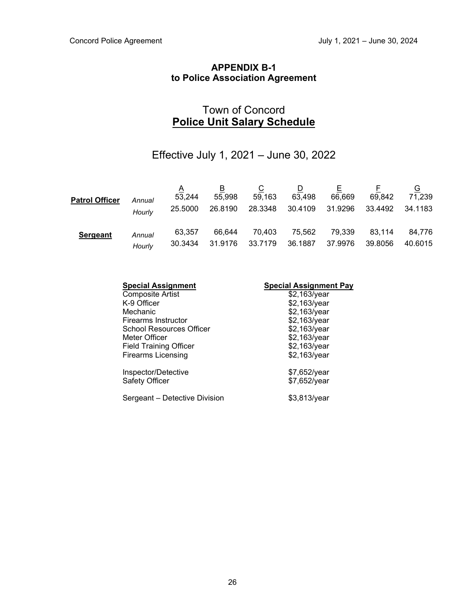## **APPENDIX B-1 to Police Association Agreement**

## Town of Concord **Police Unit Salary Schedule**

## Effective July 1, 2021 – June 30, 2022

| <b>Patrol Officer</b> | Annual<br>Hourly | $\Delta$<br>53,244<br>25,5000 | В<br>55,998<br>26.8190 | $\overline{C}$<br>59,163<br>28.3348 | <u>D</u><br>63,498<br>30.4109 | 66,669<br>31.9296 | 69,842<br>33.4492 | <u>G</u><br>71,239<br>34.1183 |
|-----------------------|------------------|-------------------------------|------------------------|-------------------------------------|-------------------------------|-------------------|-------------------|-------------------------------|
| <b>Sergeant</b>       | Annual           | 63.357                        | 66,644                 | 70,403                              | 75,562                        | 79,339            | 83,114            | 84,776                        |
|                       | Hourly           | 30.3434                       | 31.9176                | 33.7179                             | 36.1887                       | 37.9976           | 39.8056           | 40.6015                       |

| <b>Special Assignment</b>             | <b>Special Assignment Pay</b> |
|---------------------------------------|-------------------------------|
| <b>Composite Artist</b>               | \$2,163/year                  |
| K-9 Officer                           | \$2,163/year                  |
| Mechanic                              | \$2,163/year                  |
| Firearms Instructor                   | \$2,163/year                  |
| School Resources Officer              | \$2,163/year                  |
| Meter Officer                         | \$2,163/year                  |
| <b>Field Training Officer</b>         | \$2,163/year                  |
| <b>Firearms Licensing</b>             | \$2,163/year                  |
| Inspector/Detective<br>Safety Officer | \$7,652/year<br>\$7,652/year  |
| Sergeant – Detective Division         | \$3,813/year                  |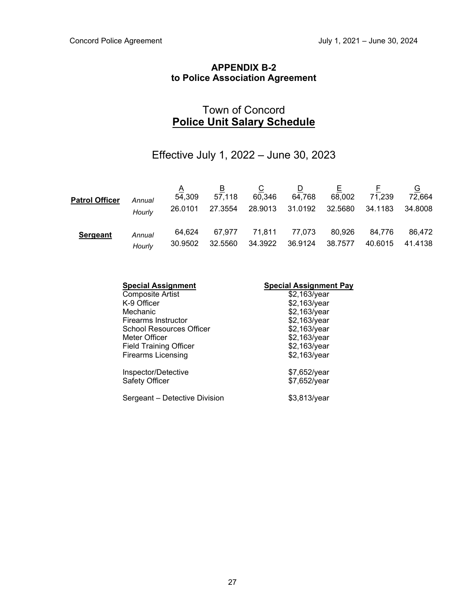## **APPENDIX B-2 to Police Association Agreement**

## Town of Concord **Police Unit Salary Schedule**

## Effective July 1, 2022 – June 30, 2023

| <b>Patrol Officer</b> | Annual<br>Hourly | $\Delta$<br>54,309<br>26.0101 | В<br>57,118<br>27.3554 | $\overline{C}$<br>60,346<br>28.9013 | $\Box$<br>64,768<br>31.0192 | 68,002<br>32.5680 | 71,239<br>34.1183 | <u>G</u><br>72,664<br>34.8008 |
|-----------------------|------------------|-------------------------------|------------------------|-------------------------------------|-----------------------------|-------------------|-------------------|-------------------------------|
| <b>Sergeant</b>       | Annual<br>Hourly | 64.624<br>30.9502             | 67.977<br>32.5560      | 71,811  77,073<br>34.3922           | 36.9124                     | 80,926<br>38.7577 | 84,776<br>40.6015 | 86,472<br>41.4138             |

| <b>Special Assignment</b>             | <b>Special Assignment Pay</b> |
|---------------------------------------|-------------------------------|
| <b>Composite Artist</b>               | \$2,163/year                  |
| K-9 Officer                           | \$2,163/year                  |
| Mechanic                              | \$2,163/year                  |
| Firearms Instructor                   | \$2,163/year                  |
| School Resources Officer              | \$2,163/year                  |
| Meter Officer                         | \$2,163/year                  |
| <b>Field Training Officer</b>         | \$2,163/year                  |
| <b>Firearms Licensing</b>             | \$2,163/year                  |
| Inspector/Detective<br>Safety Officer | \$7,652/year<br>\$7,652/year  |
| Sergeant - Detective Division         | \$3,813/year                  |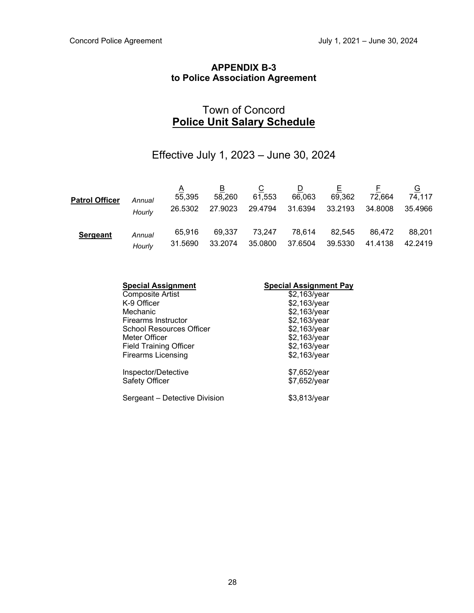## **APPENDIX B-3 to Police Association Agreement**

## Town of Concord **Police Unit Salary Schedule**

## Effective July 1, 2023 – June 30, 2024

| <b>Patrol Officer</b> | Annual<br>Hourly | A<br>55,395<br>26.5302 | B<br>58,260<br>27.9023 | $\overline{C}$<br>61,553<br>29.4794 | <u>D</u><br>66,063<br>31.6394 | 69,362<br>33.2193 | 72.664<br>34.8008 | <u>G</u><br>74.117<br>35.4966 |
|-----------------------|------------------|------------------------|------------------------|-------------------------------------|-------------------------------|-------------------|-------------------|-------------------------------|
| <b>Sergeant</b>       | Annual           | 65.916                 | 69,337                 | 73.247                              | 78,614                        | 82,545            | 86,472            | 88,201                        |
|                       | Hourly           | 31.5690                | 33.2074                | 35.0800                             | 37.6504                       | 39.5330           | 41.4138           | 42.2419                       |

| <b>Special Assignment</b>     | <b>Special Assignment Pay</b> |
|-------------------------------|-------------------------------|
| <b>Composite Artist</b>       | \$2,163/year                  |
| K-9 Officer                   | \$2,163/year                  |
| Mechanic                      | \$2,163/year                  |
| Firearms Instructor           | \$2,163/year                  |
| School Resources Officer      | \$2,163/year                  |
| Meter Officer                 | \$2,163/year                  |
| <b>Field Training Officer</b> | \$2,163/year                  |
| Firearms Licensing            | \$2,163/year                  |
| Inspector/Detective           | \$7,652/year                  |
| Safety Officer                | \$7,652/year                  |
| Sergeant - Detective Division | \$3,813/year                  |